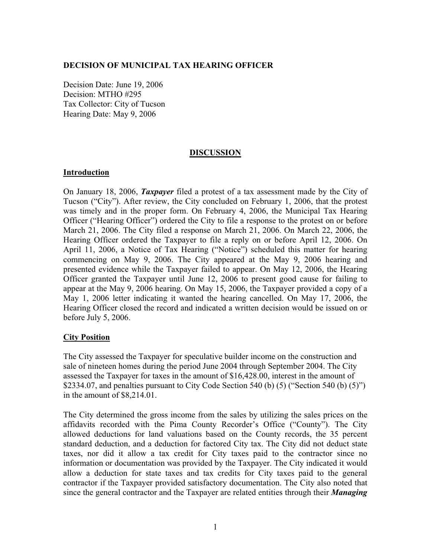### **DECISION OF MUNICIPAL TAX HEARING OFFICER**

Decision Date: June 19, 2006 Decision: MTHO #295 Tax Collector: City of Tucson Hearing Date: May 9, 2006

### **DISCUSSION**

#### **Introduction**

On January 18, 2006, *Taxpayer* filed a protest of a tax assessment made by the City of Tucson ("City"). After review, the City concluded on February 1, 2006, that the protest was timely and in the proper form. On February 4, 2006, the Municipal Tax Hearing Officer ("Hearing Officer") ordered the City to file a response to the protest on or before March 21, 2006. The City filed a response on March 21, 2006. On March 22, 2006, the Hearing Officer ordered the Taxpayer to file a reply on or before April 12, 2006. On April 11, 2006, a Notice of Tax Hearing ("Notice") scheduled this matter for hearing commencing on May 9, 2006. The City appeared at the May 9, 2006 hearing and presented evidence while the Taxpayer failed to appear. On May 12, 2006, the Hearing Officer granted the Taxpayer until June 12, 2006 to present good cause for failing to appear at the May 9, 2006 hearing. On May 15, 2006, the Taxpayer provided a copy of a May 1, 2006 letter indicating it wanted the hearing cancelled. On May 17, 2006, the Hearing Officer closed the record and indicated a written decision would be issued on or before July 5, 2006.

# **City Position**

The City assessed the Taxpayer for speculative builder income on the construction and sale of nineteen homes during the period June 2004 through September 2004. The City assessed the Taxpayer for taxes in the amount of \$16,428.00, interest in the amount of \$2334.07, and penalties pursuant to City Code Section 540 (b)  $(5)$  ("Section 540 (b)  $(5)$ ") in the amount of \$8,214.01.

The City determined the gross income from the sales by utilizing the sales prices on the affidavits recorded with the Pima County Recorder's Office ("County"). The City allowed deductions for land valuations based on the County records, the 35 percent standard deduction, and a deduction for factored City tax. The City did not deduct state taxes, nor did it allow a tax credit for City taxes paid to the contractor since no information or documentation was provided by the Taxpayer. The City indicated it would allow a deduction for state taxes and tax credits for City taxes paid to the general contractor if the Taxpayer provided satisfactory documentation. The City also noted that since the general contractor and the Taxpayer are related entities through their *Managing*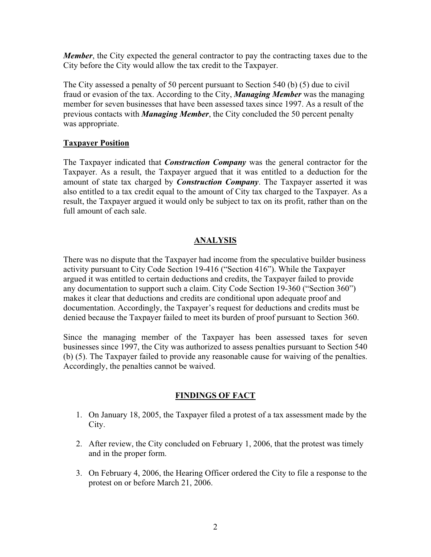*Member*, the City expected the general contractor to pay the contracting taxes due to the City before the City would allow the tax credit to the Taxpayer.

The City assessed a penalty of 50 percent pursuant to Section 540 (b) (5) due to civil fraud or evasion of the tax. According to the City, *Managing Member* was the managing member for seven businesses that have been assessed taxes since 1997. As a result of the previous contacts with *Managing Member*, the City concluded the 50 percent penalty was appropriate.

# **Taxpayer Position**

The Taxpayer indicated that *Construction Company* was the general contractor for the Taxpayer. As a result, the Taxpayer argued that it was entitled to a deduction for the amount of state tax charged by *Construction Company*. The Taxpayer asserted it was also entitled to a tax credit equal to the amount of City tax charged to the Taxpayer. As a result, the Taxpayer argued it would only be subject to tax on its profit, rather than on the full amount of each sale.

#### **ANALYSIS**

There was no dispute that the Taxpayer had income from the speculative builder business activity pursuant to City Code Section 19-416 ("Section 416"). While the Taxpayer argued it was entitled to certain deductions and credits, the Taxpayer failed to provide any documentation to support such a claim. City Code Section 19-360 ("Section 360") makes it clear that deductions and credits are conditional upon adequate proof and documentation. Accordingly, the Taxpayer's request for deductions and credits must be denied because the Taxpayer failed to meet its burden of proof pursuant to Section 360.

Since the managing member of the Taxpayer has been assessed taxes for seven businesses since 1997, the City was authorized to assess penalties pursuant to Section 540 (b) (5). The Taxpayer failed to provide any reasonable cause for waiving of the penalties. Accordingly, the penalties cannot be waived.

#### **FINDINGS OF FACT**

- 1. On January 18, 2005, the Taxpayer filed a protest of a tax assessment made by the City.
- 2. After review, the City concluded on February 1, 2006, that the protest was timely and in the proper form.
- 3. On February 4, 2006, the Hearing Officer ordered the City to file a response to the protest on or before March 21, 2006.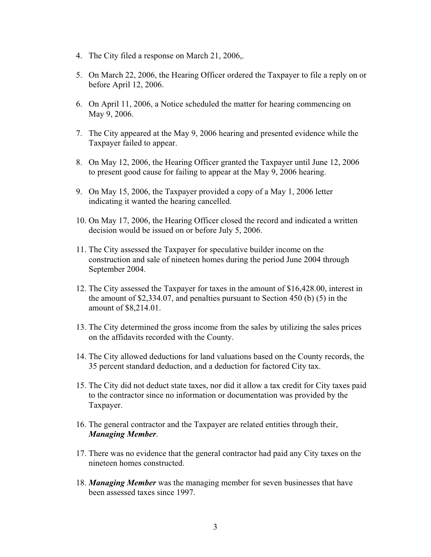- 4. The City filed a response on March 21, 2006,.
- 5. On March 22, 2006, the Hearing Officer ordered the Taxpayer to file a reply on or before April 12, 2006.
- 6. On April 11, 2006, a Notice scheduled the matter for hearing commencing on May 9, 2006.
- 7. The City appeared at the May 9, 2006 hearing and presented evidence while the Taxpayer failed to appear.
- 8. On May 12, 2006, the Hearing Officer granted the Taxpayer until June 12, 2006 to present good cause for failing to appear at the May 9, 2006 hearing.
- 9. On May 15, 2006, the Taxpayer provided a copy of a May 1, 2006 letter indicating it wanted the hearing cancelled.
- 10. On May 17, 2006, the Hearing Officer closed the record and indicated a written decision would be issued on or before July 5, 2006.
- 11. The City assessed the Taxpayer for speculative builder income on the construction and sale of nineteen homes during the period June 2004 through September 2004.
- 12. The City assessed the Taxpayer for taxes in the amount of \$16,428.00, interest in the amount of \$2,334.07, and penalties pursuant to Section 450 (b) (5) in the amount of \$8,214.01.
- 13. The City determined the gross income from the sales by utilizing the sales prices on the affidavits recorded with the County.
- 14. The City allowed deductions for land valuations based on the County records, the 35 percent standard deduction, and a deduction for factored City tax.
- 15. The City did not deduct state taxes, nor did it allow a tax credit for City taxes paid to the contractor since no information or documentation was provided by the Taxpayer.
- 16. The general contractor and the Taxpayer are related entities through their, *Managing Member*.
- 17. There was no evidence that the general contractor had paid any City taxes on the nineteen homes constructed.
- 18. *Managing Member* was the managing member for seven businesses that have been assessed taxes since 1997.